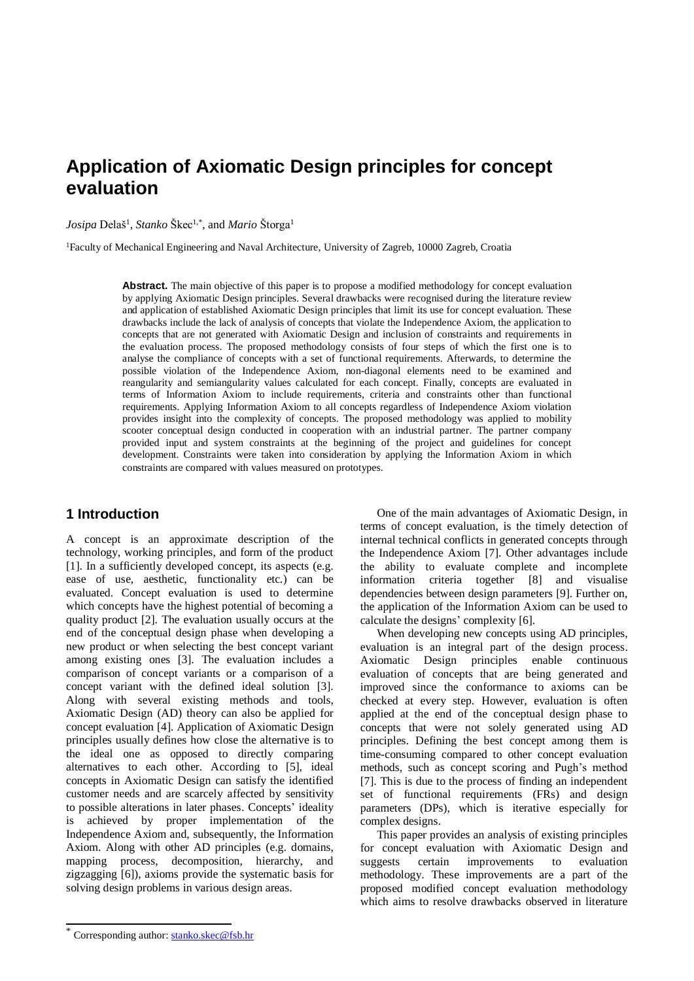# **Application of Axiomatic Design principles for concept evaluation**

 $Josipa$  Delaš<sup>1</sup>, *Stanko* Škec<sup>1,\*</sup>, and *Mario* Štorga<sup>1</sup>

<sup>1</sup>Faculty of Mechanical Engineering and Naval Architecture, University of Zagreb, 10000 Zagreb, Croatia

**Abstract.** The main objective of this paper is to propose a modified methodology for concept evaluation by applying Axiomatic Design principles. Several drawbacks were recognised during the literature review and application of established Axiomatic Design principles that limit its use for concept evaluation. These drawbacks include the lack of analysis of concepts that violate the Independence Axiom, the application to concepts that are not generated with Axiomatic Design and inclusion of constraints and requirements in the evaluation process. The proposed methodology consists of four steps of which the first one is to analyse the compliance of concepts with a set of functional requirements. Afterwards, to determine the possible violation of the Independence Axiom, non-diagonal elements need to be examined and reangularity and semiangularity values calculated for each concept. Finally, concepts are evaluated in terms of Information Axiom to include requirements, criteria and constraints other than functional requirements. Applying Information Axiom to all concepts regardless of Independence Axiom violation provides insight into the complexity of concepts. The proposed methodology was applied to mobility scooter conceptual design conducted in cooperation with an industrial partner. The partner company provided input and system constraints at the beginning of the project and guidelines for concept development. Constraints were taken into consideration by applying the Information Axiom in which constraints are compared with values measured on prototypes.

### **1 Introduction**

A concept is an approximate description of the technology, working principles, and form of the product [1]. In a sufficiently developed concept, its aspects (e.g. ease of use, aesthetic, functionality etc.) can be evaluated. Concept evaluation is used to determine which concepts have the highest potential of becoming a quality product [2]. The evaluation usually occurs at the end of the conceptual design phase when developing a new product or when selecting the best concept variant among existing ones [3]. The evaluation includes a comparison of concept variants or a comparison of a concept variant with the defined ideal solution [3]. Along with several existing methods and tools, Axiomatic Design (AD) theory can also be applied for concept evaluation [4]. Application of Axiomatic Design principles usually defines how close the alternative is to the ideal one as opposed to directly comparing alternatives to each other. According to [5], ideal concepts in Axiomatic Design can satisfy the identified customer needs and are scarcely affected by sensitivity to possible alterations in later phases. Concepts' ideality is achieved by proper implementation of the Independence Axiom and, subsequently, the Information Axiom. Along with other AD principles (e.g. domains, mapping process, decomposition, hierarchy, and zigzagging [6]), axioms provide the systematic basis for solving design problems in various design areas.

When developing new concepts using AD principles, evaluation is an integral part of the design process. Axiomatic Design principles enable continuous evaluation of concepts that are being generated and improved since the conformance to axioms can be checked at every step. However, evaluation is often applied at the end of the conceptual design phase to concepts that were not solely generated using AD principles. Defining the best concept among them is time-consuming compared to other concept evaluation methods, such as concept scoring and Pugh's method [7]. This is due to the process of finding an independent set of functional requirements (FRs) and design parameters (DPs), which is iterative especially for complex designs.

This paper provides an analysis of existing principles for concept evaluation with Axiomatic Design and suggests certain improvements to evaluation methodology. These improvements are a part of the proposed modified concept evaluation methodology which aims to resolve drawbacks observed in literature

One of the main advantages of Axiomatic Design, in terms of concept evaluation, is the timely detection of internal technical conflicts in generated concepts through the Independence Axiom [7]. Other advantages include the ability to evaluate complete and incomplete information criteria together [8] and visualise dependencies between design parameters [9]. Further on, the application of the Information Axiom can be used to calculate the designs' complexity [6].

Corresponding author: [stanko.skec@fsb.hr](mailto:stanko.skec@fsb.hrg)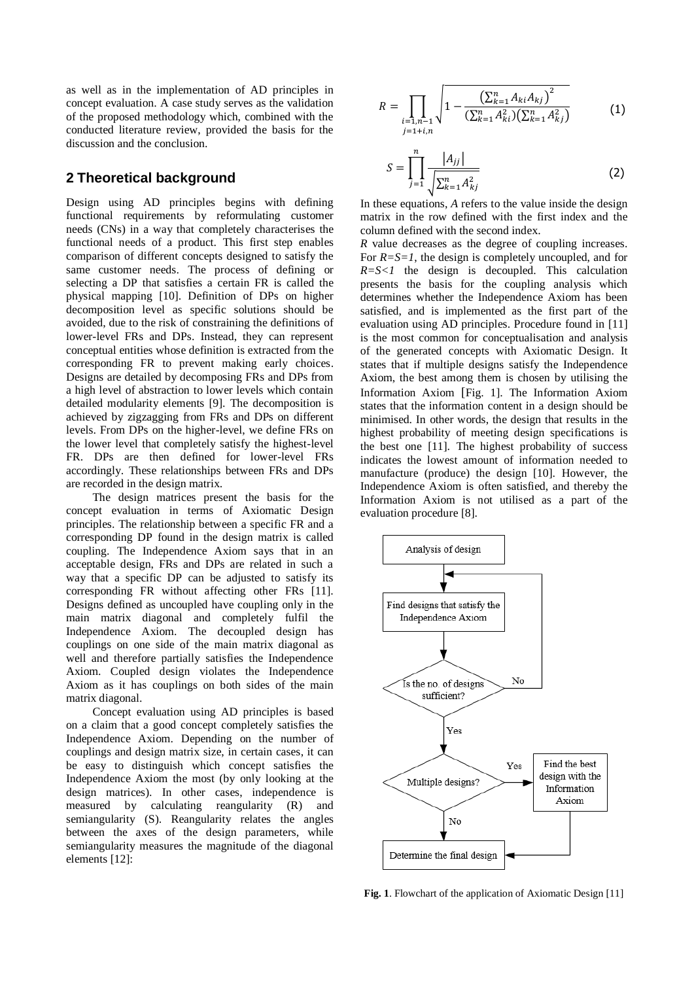as well as in the implementation of AD principles in concept evaluation. A case study serves as the validation of the proposed methodology which, combined with the conducted literature review, provided the basis for the discussion and the conclusion.

### **2 Theoretical background**

Design using AD principles begins with defining functional requirements by reformulating customer needs (CNs) in a way that completely characterises the functional needs of a product. This first step enables comparison of different concepts designed to satisfy the same customer needs. The process of defining or selecting a DP that satisfies a certain FR is called the physical mapping [10]. Definition of DPs on higher decomposition level as specific solutions should be avoided, due to the risk of constraining the definitions of lower-level FRs and DPs. Instead, they can represent conceptual entities whose definition is extracted from the corresponding FR to prevent making early choices. Designs are detailed by decomposing FRs and DPs from a high level of abstraction to lower levels which contain detailed modularity elements [9]. The decomposition is achieved by zigzagging from FRs and DPs on different levels. From DPs on the higher-level, we define FRs on the lower level that completely satisfy the highest-level FR. DPs are then defined for lower-level FRs accordingly. These relationships between FRs and DPs are recorded in the design matrix.

The design matrices present the basis for the concept evaluation in terms of Axiomatic Design principles. The relationship between a specific FR and a corresponding DP found in the design matrix is called coupling. The Independence Axiom says that in an acceptable design, FRs and DPs are related in such a way that a specific DP can be adjusted to satisfy its corresponding FR without affecting other FRs [11]. Designs defined as uncoupled have coupling only in the main matrix diagonal and completely fulfil the Independence Axiom. The decoupled design has couplings on one side of the main matrix diagonal as well and therefore partially satisfies the Independence Axiom. Coupled design violates the Independence Axiom as it has couplings on both sides of the main matrix diagonal.

Concept evaluation using AD principles is based on a claim that a good concept completely satisfies the Independence Axiom. Depending on the number of couplings and design matrix size, in certain cases, it can be easy to distinguish which concept satisfies the Independence Axiom the most (by only looking at the design matrices). In other cases, independence is measured by calculating reangularity (R) and semiangularity (S). Reangularity relates the angles between the axes of the design parameters, while semiangularity measures the magnitude of the diagonal elements [12]:

$$
R = \prod_{\substack{i=1, n-1 \\ j=1+i, n}} \sqrt{1 - \frac{\left(\sum_{k=1}^{n} A_{ki} A_{kj}\right)^2}{\left(\sum_{k=1}^{n} A_{ki}^2\right)\left(\sum_{k=1}^{n} A_{kj}^2\right)}}
$$
(1)

$$
S = \prod_{j=1}^{n} \frac{|A_{jj}|}{\sqrt{\sum_{k=1}^{n} A_{kj}^{2}}}
$$
 (2)

In these equations, *A* refers to the value inside the design matrix in the row defined with the first index and the column defined with the second index.

*R* value decreases as the degree of coupling increases. For  $R = S = 1$ , the design is completely uncoupled, and for  $R = S < I$  the design is decoupled. This calculation presents the basis for the coupling analysis which determines whether the Independence Axiom has been satisfied, and is implemented as the first part of the evaluation using AD principles. Procedure found in [11] is the most common for conceptualisation and analysis of the generated concepts with Axiomatic Design. It states that if multiple designs satisfy the Independence Axiom, the best among them is chosen by utilising the Information Axiom [[Fig. 1\]](#page-1-0). The Information Axiom states that the information content in a design should be minimised. In other words, the design that results in the highest probability of meeting design specifications is the best one [11]. The highest probability of success indicates the lowest amount of information needed to manufacture (produce) the design [10]. However, the Independence Axiom is often satisfied, and thereby the Information Axiom is not utilised as a part of the evaluation procedure [8].



<span id="page-1-0"></span>**Fig. 1**. Flowchart of the application of Axiomatic Design [11]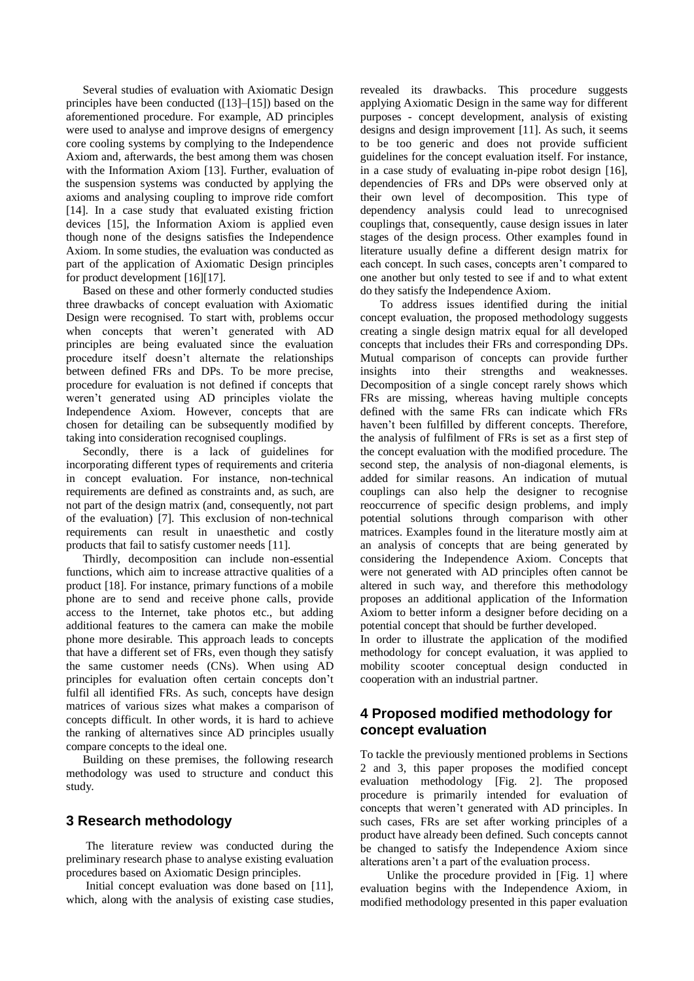Several studies of evaluation with Axiomatic Design principles have been conducted ([13]–[15]) based on the aforementioned procedure. For example, AD principles were used to analyse and improve designs of emergency core cooling systems by complying to the Independence Axiom and, afterwards, the best among them was chosen with the Information Axiom [13]. Further, evaluation of the suspension systems was conducted by applying the axioms and analysing coupling to improve ride comfort [14]. In a case study that evaluated existing friction devices [15], the Information Axiom is applied even though none of the designs satisfies the Independence Axiom. In some studies, the evaluation was conducted as part of the application of Axiomatic Design principles for product development [16][17].

Based on these and other formerly conducted studies three drawbacks of concept evaluation with Axiomatic Design were recognised. To start with, problems occur when concepts that weren't generated with AD principles are being evaluated since the evaluation procedure itself doesn't alternate the relationships between defined FRs and DPs. To be more precise, procedure for evaluation is not defined if concepts that weren't generated using AD principles violate the Independence Axiom. However, concepts that are chosen for detailing can be subsequently modified by taking into consideration recognised couplings.

Secondly, there is a lack of guidelines for incorporating different types of requirements and criteria in concept evaluation. For instance, non-technical requirements are defined as constraints and, as such, are not part of the design matrix (and, consequently, not part of the evaluation) [7]. This exclusion of non-technical requirements can result in unaesthetic and costly products that fail to satisfy customer needs [11].

Thirdly, decomposition can include non-essential functions, which aim to increase attractive qualities of a product [18]. For instance, primary functions of a mobile phone are to send and receive phone calls, provide access to the Internet, take photos etc., but adding additional features to the camera can make the mobile phone more desirable. This approach leads to concepts that have a different set of FRs, even though they satisfy the same customer needs (CNs). When using AD principles for evaluation often certain concepts don't fulfil all identified FRs. As such, concepts have design matrices of various sizes what makes a comparison of concepts difficult. In other words, it is hard to achieve the ranking of alternatives since AD principles usually compare concepts to the ideal one.

Building on these premises, the following research methodology was used to structure and conduct this study.

# **3 Research methodology**

The literature review was conducted during the preliminary research phase to analyse existing evaluation procedures based on Axiomatic Design principles.

Initial concept evaluation was done based on [11], which, along with the analysis of existing case studies,

revealed its drawbacks. This procedure suggests applying Axiomatic Design in the same way for different purposes - concept development, analysis of existing designs and design improvement [11]. As such, it seems to be too generic and does not provide sufficient guidelines for the concept evaluation itself. For instance, in a case study of evaluating in-pipe robot design [16], dependencies of FRs and DPs were observed only at their own level of decomposition. This type of dependency analysis could lead to unrecognised couplings that, consequently, cause design issues in later stages of the design process. Other examples found in literature usually define a different design matrix for each concept. In such cases, concepts aren't compared to one another but only tested to see if and to what extent do they satisfy the Independence Axiom.

To address issues identified during the initial concept evaluation, the proposed methodology suggests creating a single design matrix equal for all developed concepts that includes their FRs and corresponding DPs. Mutual comparison of concepts can provide further insights into their strengths and weaknesses. Decomposition of a single concept rarely shows which FRs are missing, whereas having multiple concepts defined with the same FRs can indicate which FRs haven't been fulfilled by different concepts. Therefore, the analysis of fulfilment of FRs is set as a first step of the concept evaluation with the modified procedure. The second step, the analysis of non-diagonal elements, is added for similar reasons. An indication of mutual couplings can also help the designer to recognise reoccurrence of specific design problems, and imply potential solutions through comparison with other matrices. Examples found in the literature mostly aim at an analysis of concepts that are being generated by considering the Independence Axiom. Concepts that were not generated with AD principles often cannot be altered in such way, and therefore this methodology proposes an additional application of the Information Axiom to better inform a designer before deciding on a potential concept that should be further developed.

In order to illustrate the application of the modified methodology for concept evaluation, it was applied to mobility scooter conceptual design conducted in cooperation with an industrial partner.

# **4 Proposed modified methodology for concept evaluation**

To tackle the previously mentioned problems in Sections 2 and 3, this paper proposes the modified concept evaluation methodology [\[Fig. 2\]](#page-3-0). The proposed procedure is primarily intended for evaluation of concepts that weren't generated with AD principles. In such cases, FRs are set after working principles of a product have already been defined. Such concepts cannot be changed to satisfy the Independence Axiom since alterations aren't a part of the evaluation process.

Unlike the procedure provided in [\[Fig. 1\]](#page-1-0) where evaluation begins with the Independence Axiom, in modified methodology presented in this paper evaluation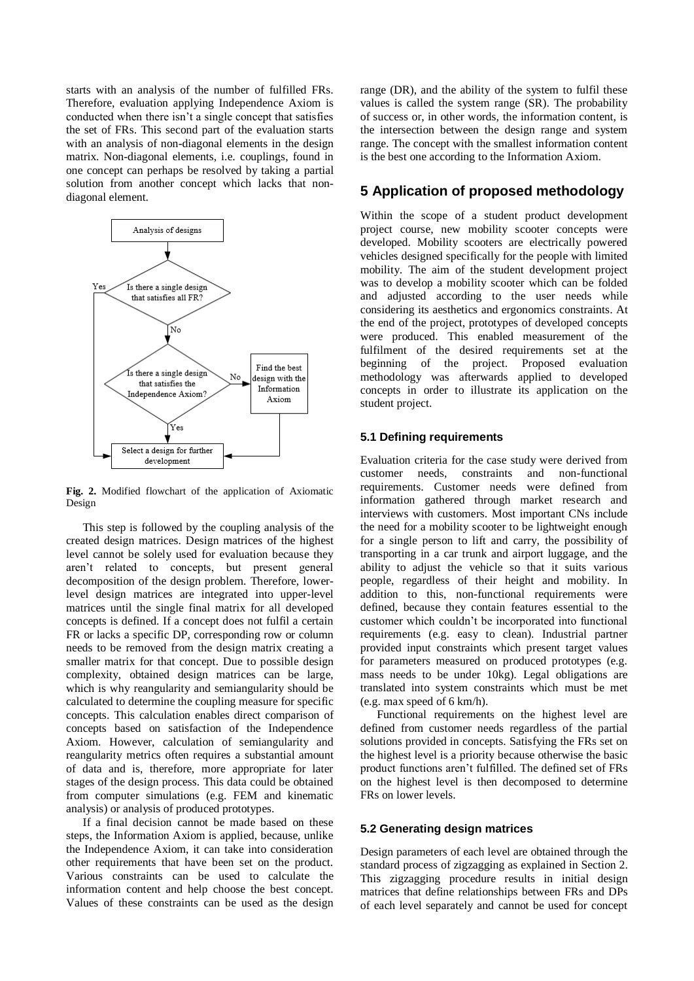starts with an analysis of the number of fulfilled FRs. Therefore, evaluation applying Independence Axiom is conducted when there isn't a single concept that satisfies the set of FRs. This second part of the evaluation starts with an analysis of non-diagonal elements in the design matrix. Non-diagonal elements, i.e. couplings, found in one concept can perhaps be resolved by taking a partial solution from another concept which lacks that nondiagonal element.



<span id="page-3-0"></span>**Fig. 2.** Modified flowchart of the application of Axiomatic Design

This step is followed by the coupling analysis of the created design matrices. Design matrices of the highest level cannot be solely used for evaluation because they aren't related to concepts, but present general decomposition of the design problem. Therefore, lowerlevel design matrices are integrated into upper-level matrices until the single final matrix for all developed concepts is defined. If a concept does not fulfil a certain FR or lacks a specific DP, corresponding row or column needs to be removed from the design matrix creating a smaller matrix for that concept. Due to possible design complexity, obtained design matrices can be large, which is why reangularity and semiangularity should be calculated to determine the coupling measure for specific concepts. This calculation enables direct comparison of concepts based on satisfaction of the Independence Axiom. However, calculation of semiangularity and reangularity metrics often requires a substantial amount of data and is, therefore, more appropriate for later stages of the design process. This data could be obtained from computer simulations (e.g. FEM and kinematic analysis) or analysis of produced prototypes.

If a final decision cannot be made based on these steps, the Information Axiom is applied, because, unlike the Independence Axiom, it can take into consideration other requirements that have been set on the product. Various constraints can be used to calculate the information content and help choose the best concept. Values of these constraints can be used as the design

range (DR), and the ability of the system to fulfil these values is called the system range (SR). The probability of success or, in other words, the information content, is the intersection between the design range and system range. The concept with the smallest information content is the best one according to the Information Axiom.

## **5 Application of proposed methodology**

Within the scope of a student product development project course, new mobility scooter concepts were developed. Mobility scooters are electrically powered vehicles designed specifically for the people with limited mobility. The aim of the student development project was to develop a mobility scooter which can be folded and adjusted according to the user needs while considering its aesthetics and ergonomics constraints. At the end of the project, prototypes of developed concepts were produced. This enabled measurement of the fulfilment of the desired requirements set at the beginning of the project. Proposed evaluation methodology was afterwards applied to developed concepts in order to illustrate its application on the student project.

#### **5.1 Defining requirements**

Evaluation criteria for the case study were derived from customer needs, constraints and non-functional requirements. Customer needs were defined from information gathered through market research and interviews with customers. Most important CNs include the need for a mobility scooter to be lightweight enough for a single person to lift and carry, the possibility of transporting in a car trunk and airport luggage, and the ability to adjust the vehicle so that it suits various people, regardless of their height and mobility. In addition to this, non-functional requirements were defined, because they contain features essential to the customer which couldn't be incorporated into functional requirements (e.g. easy to clean). Industrial partner provided input constraints which present target values for parameters measured on produced prototypes (e.g. mass needs to be under 10kg). Legal obligations are translated into system constraints which must be met (e.g. max speed of 6 km/h).

Functional requirements on the highest level are defined from customer needs regardless of the partial solutions provided in concepts. Satisfying the FRs set on the highest level is a priority because otherwise the basic product functions aren't fulfilled. The defined set of FRs on the highest level is then decomposed to determine FRs on lower levels.

#### **5.2 Generating design matrices**

Design parameters of each level are obtained through the standard process of zigzagging as explained in Section 2. This zigzagging procedure results in initial design matrices that define relationships between FRs and DPs of each level separately and cannot be used for concept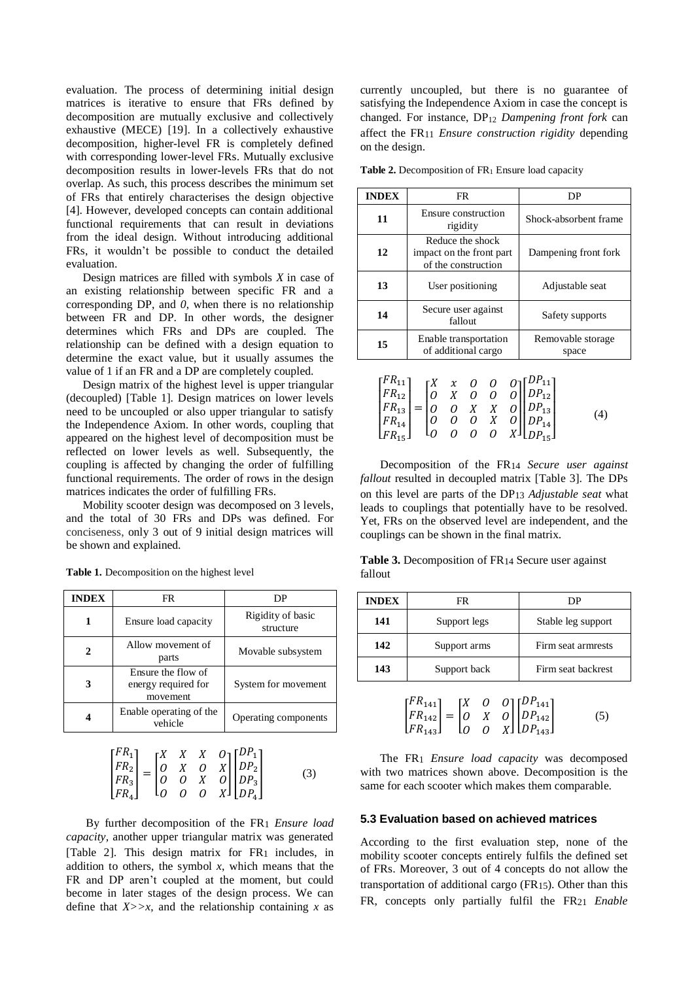evaluation. The process of determining initial design matrices is iterative to ensure that FRs defined by decomposition are mutually exclusive and collectively exhaustive (MECE) [19]. In a collectively exhaustive decomposition, higher-level FR is completely defined with corresponding lower-level FRs. Mutually exclusive decomposition results in lower-levels FRs that do not overlap. As such, this process describes the minimum set of FRs that entirely characterises the design objective [4]. However, developed concepts can contain additional functional requirements that can result in deviations from the ideal design. Without introducing additional FRs, it wouldn't be possible to conduct the detailed evaluation.

Design matrices are filled with symbols *X* in case of an existing relationship between specific FR and a corresponding DP, and *0*, when there is no relationship between FR and DP. In other words, the designer determines which FRs and DPs are coupled. The relationship can be defined with a design equation to determine the exact value, but it usually assumes the value of 1 if an FR and a DP are completely coupled.

Design matrix of the highest level is upper triangular (decoupled) [\[Table 1\]](#page-4-0). Design matrices on lower levels need to be uncoupled or also upper triangular to satisfy the Independence Axiom. In other words, coupling that appeared on the highest level of decomposition must be reflected on lower levels as well. Subsequently, the coupling is affected by changing the order of fulfilling functional requirements. The order of rows in the design matrices indicates the order of fulfilling FRs.

Mobility scooter design was decomposed on 3 levels, and the total of 30 FRs and DPs was defined. For conciseness, only 3 out of 9 initial design matrices will be shown and explained.

<span id="page-4-0"></span>

 $\overline{1}$ 

| <b>INDEX</b> | FR                                                    | DР                             |
|--------------|-------------------------------------------------------|--------------------------------|
|              | Ensure load capacity                                  | Rigidity of basic<br>structure |
|              | Allow movement of<br>parts                            | Movable subsystem              |
| 3            | Ensure the flow of<br>energy required for<br>movement | System for movement            |
|              | Enable operating of the<br>vehicle                    | Operating components           |

$$
\begin{bmatrix} FR_1 \ FR_2 \ FR_3 \ CR_4 \ \end{bmatrix} = \begin{bmatrix} X & X & X & 0 \\ 0 & X & 0 & X \\ 0 & 0 & X & 0 \\ 0 & 0 & 0 & X \end{bmatrix} \begin{bmatrix} DP_1 \ DP_2 \ DP_3 \ DP_3 \end{bmatrix} \tag{3}
$$

 $\overline{1}$ 

By further decomposition of the FR1 *Ensure load capacity,* another upper triangular matrix was generated [\[Table 2\]](#page-4-1). This design matrix for FR1 includes, in addition to others, the symbol  $x$ , which means that the FR and DP aren't coupled at the moment, but could become in later stages of the design process. We can define that  $X \gg x$ , and the relationship containing x as

currently uncoupled, but there is no guarantee of satisfying the Independence Axiom in case the concept is changed. For instance, DP<sup>12</sup> *Dampening front fork* can affect the FR11 *Ensure construction rigidity* depending on the design.

<span id="page-4-1"></span>

|  | Table 2. Decomposition of FR1 Ensure load capacity |  |  |  |
|--|----------------------------------------------------|--|--|--|
|  |                                                    |  |  |  |

| Ensure construction<br>11<br>Shock-absorbent frame<br>rigidity<br>Reduce the shock<br>12<br>impact on the front part<br>Dampening front fork<br>of the construction<br>13<br>User positioning<br>Adjustable seat<br>Secure user against<br>14<br>Safety supports<br>fallout<br>Enable transportation<br>Removable storage | <b>INDEX</b> | FR                  | DP |
|---------------------------------------------------------------------------------------------------------------------------------------------------------------------------------------------------------------------------------------------------------------------------------------------------------------------------|--------------|---------------------|----|
|                                                                                                                                                                                                                                                                                                                           |              |                     |    |
|                                                                                                                                                                                                                                                                                                                           |              |                     |    |
|                                                                                                                                                                                                                                                                                                                           |              |                     |    |
|                                                                                                                                                                                                                                                                                                                           |              |                     |    |
| space                                                                                                                                                                                                                                                                                                                     | 15           | of additional cargo |    |

|  |  |  |  | $\begin{bmatrix} FR_{11} \\ FR_{12} \\ FR_{13} \\ FR_{14} \\ FR_{15} \end{bmatrix} = \begin{bmatrix} X & x & 0 & 0 & 0 \\ 0 & X & 0 & 0 & 0 \\ 0 & 0 & X & X & 0 \\ 0 & 0 & 0 & X & 0 \\ 0 & 0 & 0 & 0 & X \end{bmatrix} \begin{bmatrix} DP_{11} \\ DP_{12} \\ DP_{13} \\ DP_{14} \\ DP_{15} \end{bmatrix}$ |     |
|--|--|--|--|-------------------------------------------------------------------------------------------------------------------------------------------------------------------------------------------------------------------------------------------------------------------------------------------------------------|-----|
|  |  |  |  |                                                                                                                                                                                                                                                                                                             |     |
|  |  |  |  |                                                                                                                                                                                                                                                                                                             |     |
|  |  |  |  |                                                                                                                                                                                                                                                                                                             | (4) |
|  |  |  |  |                                                                                                                                                                                                                                                                                                             |     |

Decomposition of the FR14 *Secure user against fallout* resulted in decoupled matrix [\[Table 3\]](#page-4-2). The DPs on this level are parts of the DP13 *Adjustable seat* what leads to couplings that potentially have to be resolved. Yet, FRs on the observed level are independent, and the couplings can be shown in the final matrix.

<span id="page-4-2"></span>**Table 3.** Decomposition of FR14 Secure user against fallout

| <b>INDEX</b> | FR                                               | DР                 |
|--------------|--------------------------------------------------|--------------------|
| 141          | Support legs                                     | Stable leg support |
| 142          | Support arms                                     | Firm seat armrests |
| 143          | Support back                                     | Firm seat backrest |
|              | $[FR_{141}]$<br>$[X \quad 0 \quad 0] [DP_{141}]$ |                    |

$$
\begin{bmatrix} I_{141} & 1 \\ FR_{142} \\ FR_{143} \end{bmatrix} = \begin{bmatrix} A & 0 & 0 \\ 0 & X & 0 \\ 0 & 0 & X \end{bmatrix} \begin{bmatrix} D_{1141} \\ DP_{142} \\ DP_{143} \end{bmatrix}
$$
 (5)

The FR1 *Ensure load capacity* was decomposed with two matrices shown above. Decomposition is the same for each scooter which makes them comparable.

#### **5.3 Evaluation based on achieved matrices**

According to the first evaluation step, none of the mobility scooter concepts entirely fulfils the defined set of FRs. Moreover, 3 out of 4 concepts do not allow the transportation of additional cargo (FR15). Other than this FR, concepts only partially fulfil the FR21 *Enable*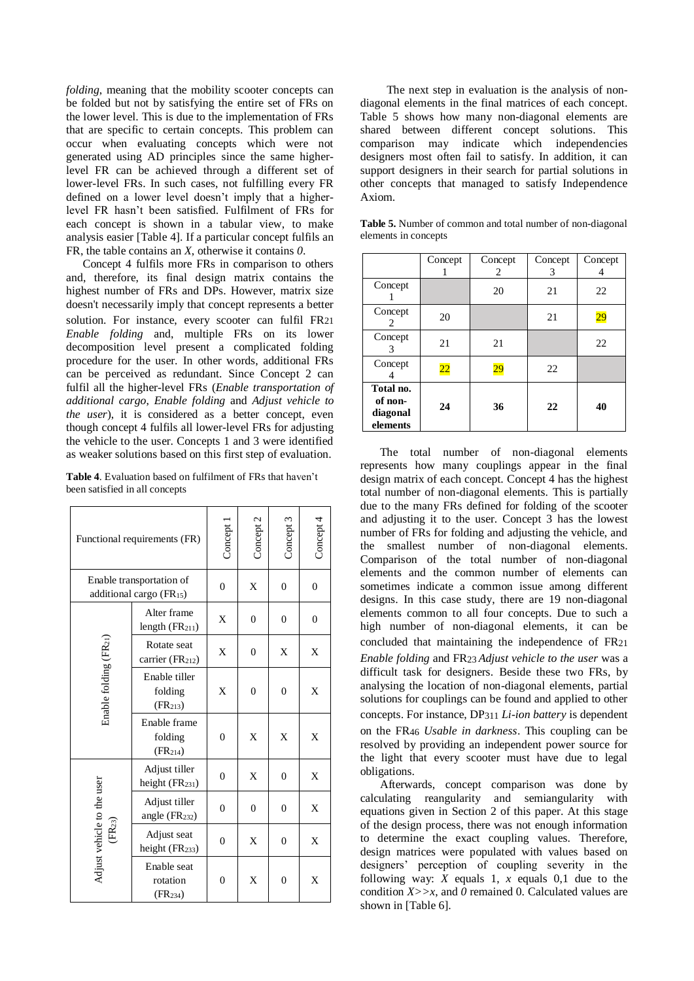*folding*, meaning that the mobility scooter concepts can be folded but not by satisfying the entire set of FRs on the lower level. This is due to the implementation of FRs that are specific to certain concepts. This problem can occur when evaluating concepts which were not generated using AD principles since the same higherlevel FR can be achieved through a different set of lower-level FRs. In such cases, not fulfilling every FR defined on a lower level doesn't imply that a higherlevel FR hasn't been satisfied. Fulfilment of FRs for each concept is shown in a tabular view, to make analysis easier [\[Table 4\]](#page-5-0). If a particular concept fulfils an FR, the table contains an *X*, otherwise it contains *0*.

Concept 4 fulfils more FRs in comparison to others and, therefore, its final design matrix contains the highest number of FRs and DPs. However, matrix size doesn't necessarily imply that concept represents a better solution. For instance, every scooter can fulfil FR21 *Enable folding* and, multiple FRs on its lower decomposition level present a complicated folding procedure for the user. In other words, additional FRs can be perceived as redundant. Since Concept 2 can fulfil all the higher-level FRs (*Enable transportation of additional cargo*, *Enable folding* and *Adjust vehicle to the user*), it is considered as a better concept, even though concept 4 fulfils all lower-level FRs for adjusting the vehicle to the user. Concepts 1 and 3 were identified as weaker solutions based on this first step of evaluation.

<span id="page-5-0"></span>**Table 4**. Evaluation based on fulfilment of FRs that haven't been satisfied in all concepts

|                                                   | Functional requirements (FR)                                     | Concept 1      | Concept 2    | Concept 3      | Concept 4      |
|---------------------------------------------------|------------------------------------------------------------------|----------------|--------------|----------------|----------------|
|                                                   | Enable transportation of<br>additional cargo (FR <sub>15</sub> ) | $\overline{0}$ | X            | $\overline{0}$ | $\overline{0}$ |
|                                                   | Alter frame<br>length $(FR_{211})$                               | X              | $\theta$     | $\theta$       | $\overline{0}$ |
|                                                   | Rotate seat<br>carrier (FR <sub>212</sub> )                      | X              | $\mathbf{0}$ | X              | X              |
| Enable folding (FR21)                             | Enable tiller<br>folding<br>$(FR_{213})$                         | X              | $\mathbf{0}$ | $\overline{0}$ | X              |
|                                                   | Enable frame<br>folding<br>$(FR_{214})$                          | $\overline{0}$ | X            | X              | X              |
|                                                   | Adjust tiller<br>height (FR <sub>231</sub> )                     | $\overline{0}$ | X            | $\overline{0}$ | X              |
| Adjust vehicle to the user<br>(FR <sub>23</sub> ) | Adjust tiller<br>angle $(FR232)$                                 | $\overline{0}$ | $\theta$     | $\overline{0}$ | X              |
|                                                   | Adjust seat<br>height (FR <sub>233</sub> )                       | $\overline{0}$ | X            | $\overline{0}$ | X              |
|                                                   | Enable seat<br>rotation<br>(FR <sub>234</sub> )                  | $\overline{0}$ | X            | $\overline{0}$ | X              |

The next step in evaluation is the analysis of nondiagonal elements in the final matrices of each concept. Table 5 shows how many non-diagonal elements are shared between different concept solutions. This comparison may indicate which independencies designers most often fail to satisfy. In addition, it can support designers in their search for partial solutions in other concepts that managed to satisfy Independence Axiom.

|                                              | Concept | Concept<br>2 | Concept<br>3 | Concept |
|----------------------------------------------|---------|--------------|--------------|---------|
| Concept                                      |         | 20           | 21           | 22      |
| Concept<br>2                                 | 20      |              | 21           | 29      |
| Concept<br>3                                 | 21      | 21           |              | 22      |
| Concept                                      | 22      | 29           | 22           |         |
| Total no.<br>of non-<br>diagonal<br>elements | 24      | 36           | 22           | 40      |

**Table 5.** Number of common and total number of non-diagonal elements in concepts

The total number of non-diagonal elements represents how many couplings appear in the final design matrix of each concept. Concept 4 has the highest total number of non-diagonal elements. This is partially due to the many FRs defined for folding of the scooter and adjusting it to the user. Concept 3 has the lowest number of FRs for folding and adjusting the vehicle, and the smallest number of non-diagonal elements. Comparison of the total number of non-diagonal elements and the common number of elements can sometimes indicate a common issue among different designs. In this case study, there are 19 non-diagonal elements common to all four concepts. Due to such a high number of non-diagonal elements, it can be concluded that maintaining the independence of FR21 *Enable folding* and FR23 *Adjust vehicle to the user* was a difficult task for designers. Beside these two FRs, by analysing the location of non-diagonal elements, partial solutions for couplings can be found and applied to other concepts. For instance, DP311 *Li-ion battery* is dependent on the FR46 *Usable in darkness*. This coupling can be resolved by providing an independent power source for the light that every scooter must have due to legal obligations.

Afterwards, concept comparison was done by calculating reangularity and semiangularity with equations given in Section 2 of this paper. At this stage of the design process, there was not enough information to determine the exact coupling values. Therefore, design matrices were populated with values based on designers' perception of coupling severity in the following way:  $X$  equals 1,  $x$  equals 0,1 due to the condition *X>>x*, and *0* remained 0. Calculated values are shown in [Table 6].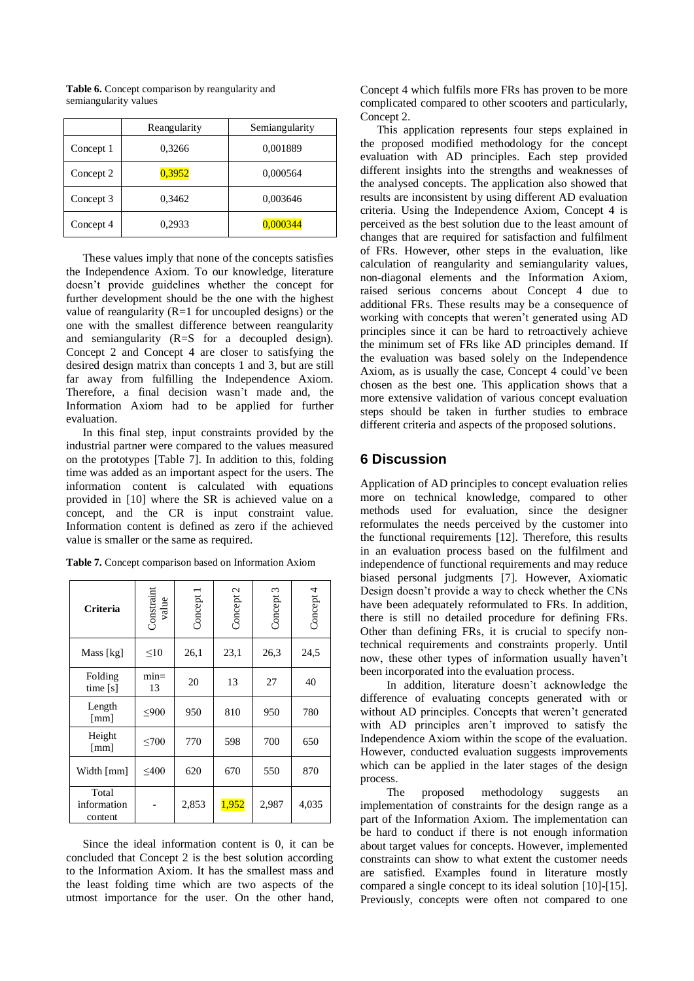|           | Reangularity | Semiangularity |
|-----------|--------------|----------------|
| Concept 1 | 0,3266       | 0,001889       |
| Concept 2 | 0,3952       | 0,000564       |
| Concept 3 | 0,3462       | 0,003646       |
| Concept 4 | 0,2933       | 0,000344       |

**Table 6.** Concept comparison by reangularity and semiangularity values

These values imply that none of the concepts satisfies the Independence Axiom. To our knowledge, literature doesn't provide guidelines whether the concept for further development should be the one with the highest value of reangularity  $(R=1$  for uncoupled designs) or the one with the smallest difference between reangularity and semiangularity (R=S for a decoupled design). Concept 2 and Concept 4 are closer to satisfying the desired design matrix than concepts 1 and 3, but are still far away from fulfilling the Independence Axiom. Therefore, a final decision wasn't made and, the Information Axiom had to be applied for further evaluation.

In this final step, input constraints provided by the industrial partner were compared to the values measured on the prototypes [\[Table 7\]](#page-6-0). In addition to this, folding time was added as an important aspect for the users. The information content is calculated with equations provided in [10] where the SR is achieved value on a concept, and the CR is input constraint value. Information content is defined as zero if the achieved value is smaller or the same as required.

| Criteria                        | Constraint<br>value | Concept 1 | Concept 2 | Concept 3 | Concept 4 |
|---------------------------------|---------------------|-----------|-----------|-----------|-----------|
| Mass [kg]                       | $\leq10$            | 26,1      | 23,1      | 26,3      | 24,5      |
| Folding<br>time [s]             | $min=$<br>13        | 20        | 13        | 27        | 40        |
| Length<br>[mm]                  | $\leq 900$          | 950       | 810       | 950       | 780       |
| Height<br>$\lceil$ mm $\rceil$  | $\leq 700$          | 770       | 598       | 700       | 650       |
| Width [mm]                      | $\leq 400$          | 620       | 670       | 550       | 870       |
| Total<br>information<br>content |                     | 2,853     | 1,952     | 2,987     | 4,035     |

<span id="page-6-0"></span>**Table 7.** Concept comparison based on Information Axiom

Since the ideal information content is 0, it can be concluded that Concept 2 is the best solution according to the Information Axiom. It has the smallest mass and the least folding time which are two aspects of the utmost importance for the user. On the other hand, Concept 4 which fulfils more FRs has proven to be more complicated compared to other scooters and particularly, Concept 2.

This application represents four steps explained in the proposed modified methodology for the concept evaluation with AD principles. Each step provided different insights into the strengths and weaknesses of the analysed concepts. The application also showed that results are inconsistent by using different AD evaluation criteria. Using the Independence Axiom, Concept 4 is perceived as the best solution due to the least amount of changes that are required for satisfaction and fulfilment of FRs. However, other steps in the evaluation, like calculation of reangularity and semiangularity values, non-diagonal elements and the Information Axiom, raised serious concerns about Concept 4 due to additional FRs. These results may be a consequence of working with concepts that weren't generated using AD principles since it can be hard to retroactively achieve the minimum set of FRs like AD principles demand. If the evaluation was based solely on the Independence Axiom, as is usually the case, Concept 4 could've been chosen as the best one. This application shows that a more extensive validation of various concept evaluation steps should be taken in further studies to embrace different criteria and aspects of the proposed solutions.

### **6 Discussion**

Application of AD principles to concept evaluation relies more on technical knowledge, compared to other methods used for evaluation, since the designer reformulates the needs perceived by the customer into the functional requirements [12]. Therefore, this results in an evaluation process based on the fulfilment and independence of functional requirements and may reduce biased personal judgments [7]. However, Axiomatic Design doesn't provide a way to check whether the CNs have been adequately reformulated to FRs. In addition, there is still no detailed procedure for defining FRs. Other than defining FRs, it is crucial to specify nontechnical requirements and constraints properly. Until now, these other types of information usually haven't been incorporated into the evaluation process.

In addition, literature doesn't acknowledge the difference of evaluating concepts generated with or without AD principles. Concepts that weren't generated with AD principles aren't improved to satisfy the Independence Axiom within the scope of the evaluation. However, conducted evaluation suggests improvements which can be applied in the later stages of the design process.

The proposed methodology suggests an implementation of constraints for the design range as a part of the Information Axiom. The implementation can be hard to conduct if there is not enough information about target values for concepts. However, implemented constraints can show to what extent the customer needs are satisfied. Examples found in literature mostly compared a single concept to its ideal solution [10]-[15]. Previously, concepts were often not compared to one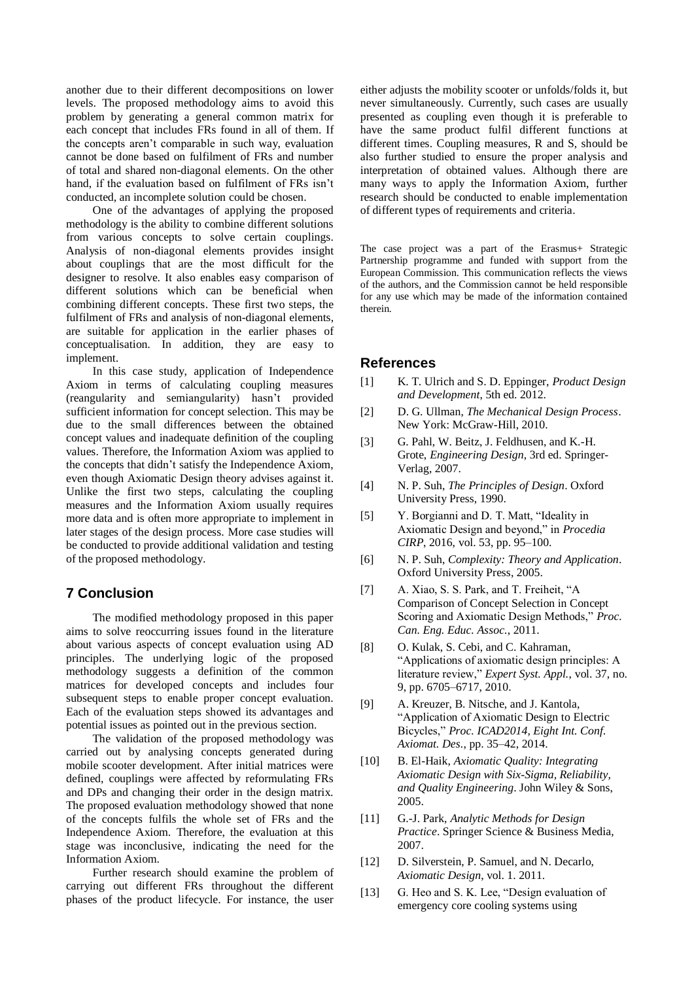another due to their different decompositions on lower levels. The proposed methodology aims to avoid this problem by generating a general common matrix for each concept that includes FRs found in all of them. If the concepts aren't comparable in such way, evaluation cannot be done based on fulfilment of FRs and number of total and shared non-diagonal elements. On the other hand, if the evaluation based on fulfilment of FRs isn't conducted, an incomplete solution could be chosen.

One of the advantages of applying the proposed methodology is the ability to combine different solutions from various concepts to solve certain couplings. Analysis of non-diagonal elements provides insight about couplings that are the most difficult for the designer to resolve. It also enables easy comparison of different solutions which can be beneficial when combining different concepts. These first two steps, the fulfilment of FRs and analysis of non-diagonal elements, are suitable for application in the earlier phases of conceptualisation. In addition, they are easy to implement.

In this case study, application of Independence Axiom in terms of calculating coupling measures (reangularity and semiangularity) hasn't provided sufficient information for concept selection. This may be due to the small differences between the obtained concept values and inadequate definition of the coupling values. Therefore, the Information Axiom was applied to the concepts that didn't satisfy the Independence Axiom, even though Axiomatic Design theory advises against it. Unlike the first two steps, calculating the coupling measures and the Information Axiom usually requires more data and is often more appropriate to implement in later stages of the design process. More case studies will be conducted to provide additional validation and testing of the proposed methodology.

## **7 Conclusion**

The modified methodology proposed in this paper aims to solve reoccurring issues found in the literature about various aspects of concept evaluation using AD principles. The underlying logic of the proposed methodology suggests a definition of the common matrices for developed concepts and includes four subsequent steps to enable proper concept evaluation. Each of the evaluation steps showed its advantages and potential issues as pointed out in the previous section.

The validation of the proposed methodology was carried out by analysing concepts generated during mobile scooter development. After initial matrices were defined, couplings were affected by reformulating FRs and DPs and changing their order in the design matrix. The proposed evaluation methodology showed that none of the concepts fulfils the whole set of FRs and the Independence Axiom. Therefore, the evaluation at this stage was inconclusive, indicating the need for the Information Axiom.

Further research should examine the problem of carrying out different FRs throughout the different phases of the product lifecycle. For instance, the user

either adjusts the mobility scooter or unfolds/folds it, but never simultaneously. Currently, such cases are usually presented as coupling even though it is preferable to have the same product fulfil different functions at different times. Coupling measures, R and S, should be also further studied to ensure the proper analysis and interpretation of obtained values. Although there are many ways to apply the Information Axiom, further research should be conducted to enable implementation of different types of requirements and criteria.

The case project was a part of the Erasmus+ Strategic Partnership programme and funded with support from the European Commission. This communication reflects the views of the authors, and the Commission cannot be held responsible for any use which may be made of the information contained therein.

### **References**

- [1] K. T. Ulrich and S. D. Eppinger, *Product Design and Development*, 5th ed. 2012.
- [2] D. G. Ullman, *The Mechanical Design Process*. New York: McGraw-Hill, 2010.
- [3] G. Pahl, W. Beitz, J. Feldhusen, and K.-H. Grote, *Engineering Design*, 3rd ed. Springer-Verlag, 2007.
- [4] N. P. Suh, *The Principles of Design*. Oxford University Press, 1990.
- [5] Y. Borgianni and D. T. Matt, "Ideality in Axiomatic Design and beyond," in *Procedia CIRP*, 2016, vol. 53, pp. 95–100.
- [6] N. P. Suh, *Complexity: Theory and Application*. Oxford University Press, 2005.
- [7] A. Xiao, S. S. Park, and T. Freiheit, "A Comparison of Concept Selection in Concept Scoring and Axiomatic Design Methods," *Proc. Can. Eng. Educ. Assoc.*, 2011.
- [8] O. Kulak, S. Cebi, and C. Kahraman, "Applications of axiomatic design principles: A literature review," *Expert Syst. Appl.*, vol. 37, no. 9, pp. 6705–6717, 2010.
- [9] A. Kreuzer, B. Nitsche, and J. Kantola, "Application of Axiomatic Design to Electric Bicycles," *Proc. ICAD2014, Eight Int. Conf. Axiomat. Des.*, pp. 35–42, 2014.
- [10] B. El-Haik, *Axiomatic Quality: Integrating Axiomatic Design with Six-Sigma, Reliability, and Quality Engineering*. John Wiley & Sons, 2005.
- [11] G.-J. Park, *Analytic Methods for Design Practice*. Springer Science & Business Media, 2007.
- [12] D. Silverstein, P. Samuel, and N. Decarlo, *Axiomatic Design*, vol. 1. 2011.
- [13] G. Heo and S. K. Lee, "Design evaluation of emergency core cooling systems using